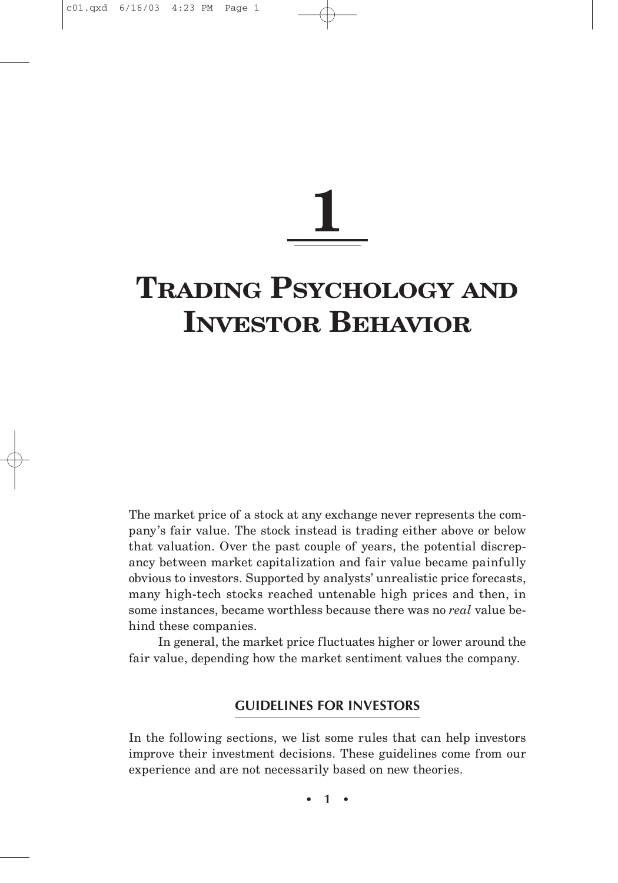# **1**

# **TRADING PSYCHOLOGY AND INVESTOR BEHAVIOR**

The market price of a stock at any exchange never represents the company's fair value. The stock instead is trading either above or below that valuation. Over the past couple of years, the potential discrepancy between market capitalization and fair value became painfully obvious to investors. Supported by analysts' unrealistic price forecasts, many high-tech stocks reached untenable high prices and then, in some instances, became worthless because there was no *real* value behind these companies.

In general, the market price fluctuates higher or lower around the fair value, depending how the market sentiment values the company.

# **GUIDELINES FOR INVESTORS**

In the following sections, we list some rules that can help investors improve their investment decisions. These guidelines come from our experience and are not necessarily based on new theories.

**• 1 •**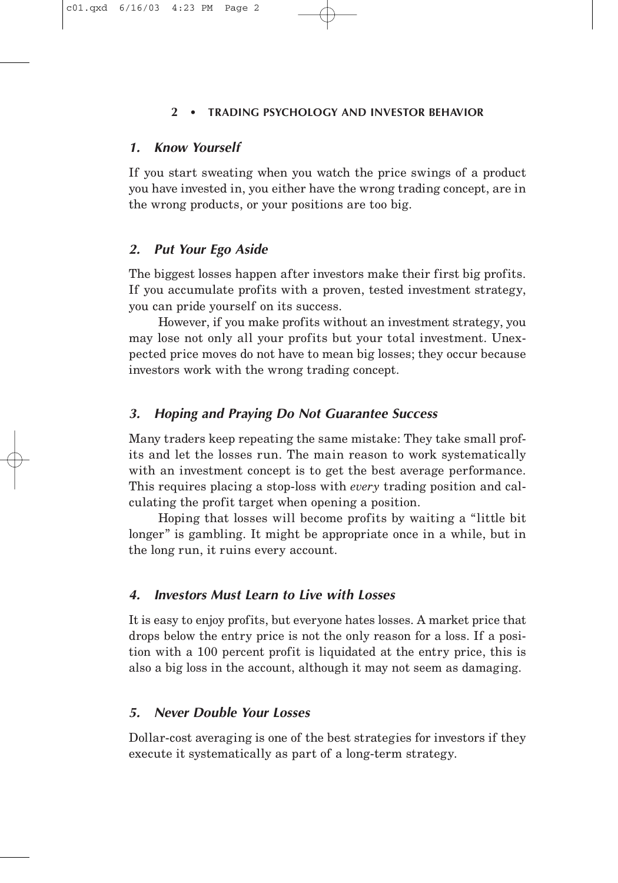#### **2 • TRADING PSYCHOLOGY AND INVESTOR BEHAVIOR**

#### *1. Know Yourself*

If you start sweating when you watch the price swings of a product you have invested in, you either have the wrong trading concept, are in the wrong products, or your positions are too big.

#### *2. Put Your Ego Aside*

The biggest losses happen after investors make their first big profits. If you accumulate profits with a proven, tested investment strategy, you can pride yourself on its success.

However, if you make profits without an investment strategy, you may lose not only all your profits but your total investment. Unexpected price moves do not have to mean big losses; they occur because investors work with the wrong trading concept.

#### *3. Hoping and Praying Do Not Guarantee Success*

Many traders keep repeating the same mistake: They take small profits and let the losses run. The main reason to work systematically with an investment concept is to get the best average performance. This requires placing a stop-loss with *every* trading position and calculating the profit target when opening a position.

Hoping that losses will become profits by waiting a "little bit longer" is gambling. It might be appropriate once in a while, but in the long run, it ruins every account.

# *4. Investors Must Learn to Live with Losses*

It is easy to enjoy profits, but everyone hates losses. A market price that drops below the entry price is not the only reason for a loss. If a position with a 100 percent profit is liquidated at the entry price, this is also a big loss in the account, although it may not seem as damaging.

# *5. Never Double Your Losses*

Dollar-cost averaging is one of the best strategies for investors if they execute it systematically as part of a long-term strategy.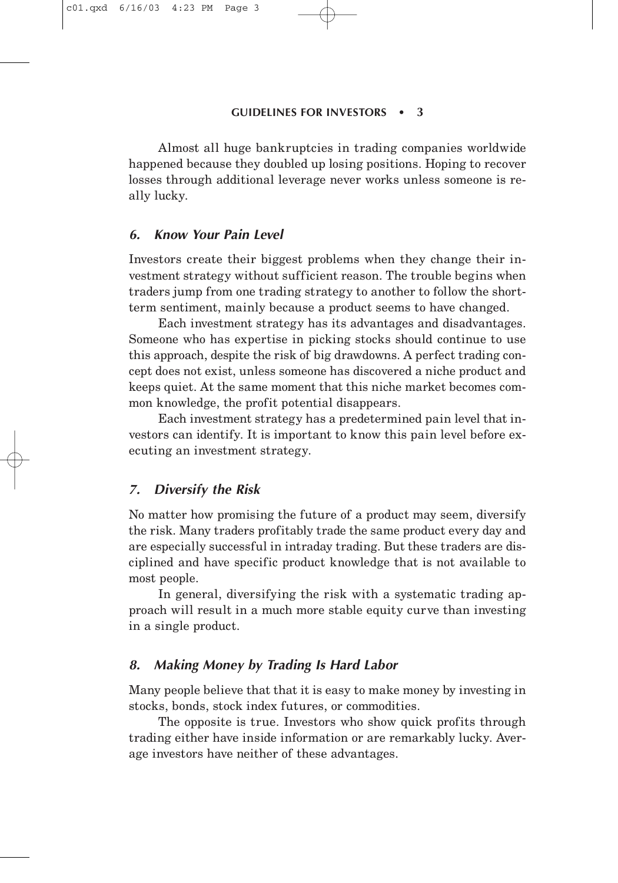#### **GUIDELINES FOR INVESTORS • 3**

Almost all huge bankruptcies in trading companies worldwide happened because they doubled up losing positions. Hoping to recover losses through additional leverage never works unless someone is really lucky.

#### *6. Know Your Pain Level*

Investors create their biggest problems when they change their investment strategy without sufficient reason. The trouble begins when traders jump from one trading strategy to another to follow the shortterm sentiment, mainly because a product seems to have changed.

Each investment strategy has its advantages and disadvantages. Someone who has expertise in picking stocks should continue to use this approach, despite the risk of big drawdowns. A perfect trading concept does not exist, unless someone has discovered a niche product and keeps quiet. At the same moment that this niche market becomes common knowledge, the profit potential disappears.

Each investment strategy has a predetermined pain level that investors can identify. It is important to know this pain level before executing an investment strategy.

#### *7. Diversify the Risk*

No matter how promising the future of a product may seem, diversify the risk. Many traders profitably trade the same product every day and are especially successful in intraday trading. But these traders are disciplined and have specific product knowledge that is not available to most people.

In general, diversifying the risk with a systematic trading approach will result in a much more stable equity curve than investing in a single product.

#### *8. Making Money by Trading Is Hard Labor*

Many people believe that that it is easy to make money by investing in stocks, bonds, stock index futures, or commodities.

The opposite is true. Investors who show quick profits through trading either have inside information or are remarkably lucky. Average investors have neither of these advantages.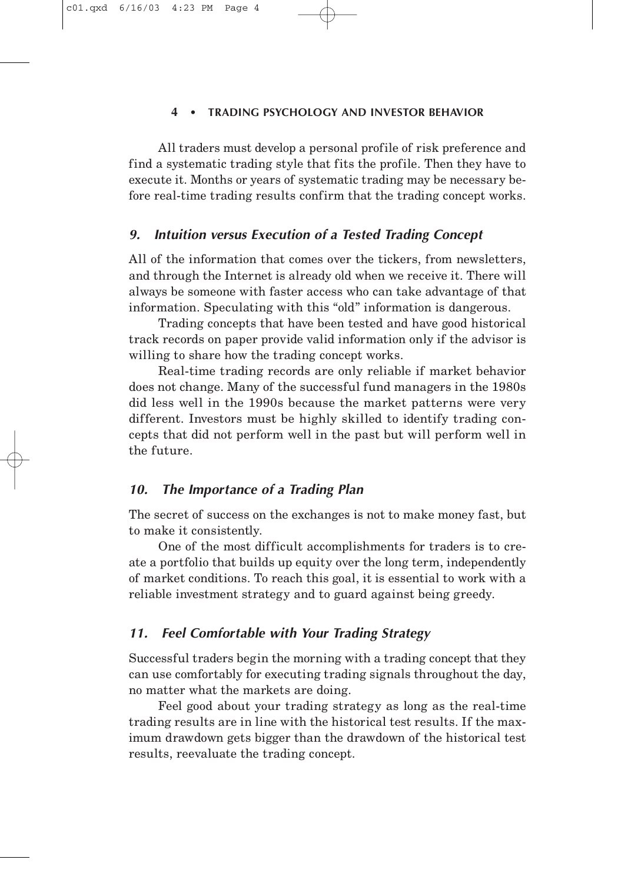#### **4 • TRADING PSYCHOLOGY AND INVESTOR BEHAVIOR**

All traders must develop a personal profile of risk preference and find a systematic trading style that fits the profile. Then they have to execute it. Months or years of systematic trading may be necessary before real-time trading results confirm that the trading concept works.

#### *9. Intuition versus Execution of a Tested Trading Concept*

All of the information that comes over the tickers, from newsletters, and through the Internet is already old when we receive it. There will always be someone with faster access who can take advantage of that information. Speculating with this "old" information is dangerous.

Trading concepts that have been tested and have good historical track records on paper provide valid information only if the advisor is willing to share how the trading concept works.

Real-time trading records are only reliable if market behavior does not change. Many of the successful fund managers in the 1980s did less well in the 1990s because the market patterns were very different. Investors must be highly skilled to identify trading concepts that did not perform well in the past but will perform well in the future.

#### *10. The Importance of a Trading Plan*

The secret of success on the exchanges is not to make money fast, but to make it consistently.

One of the most difficult accomplishments for traders is to create a portfolio that builds up equity over the long term, independently of market conditions. To reach this goal, it is essential to work with a reliable investment strategy and to guard against being greedy.

#### *11. Feel Comfortable with Your Trading Strategy*

Successful traders begin the morning with a trading concept that they can use comfortably for executing trading signals throughout the day, no matter what the markets are doing.

Feel good about your trading strategy as long as the real-time trading results are in line with the historical test results. If the maximum drawdown gets bigger than the drawdown of the historical test results, reevaluate the trading concept.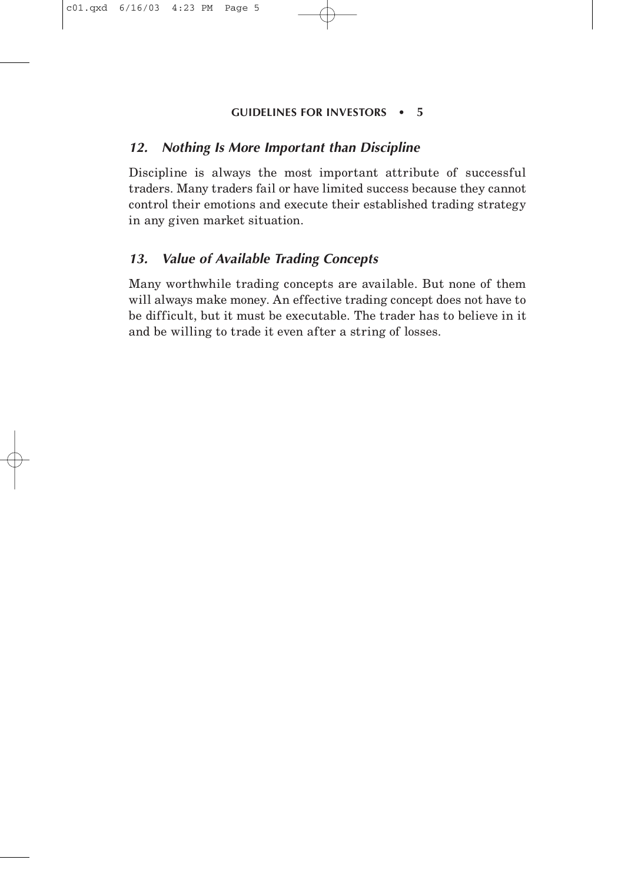# **GUIDELINES FOR INVESTORS • 5**

# *12. Nothing Is More Important than Discipline*

Discipline is always the most important attribute of successful traders. Many traders fail or have limited success because they cannot control their emotions and execute their established trading strategy in any given market situation.

# *13. Value of Available Trading Concepts*

Many worthwhile trading concepts are available. But none of them will always make money. An effective trading concept does not have to be difficult, but it must be executable. The trader has to believe in it and be willing to trade it even after a string of losses.